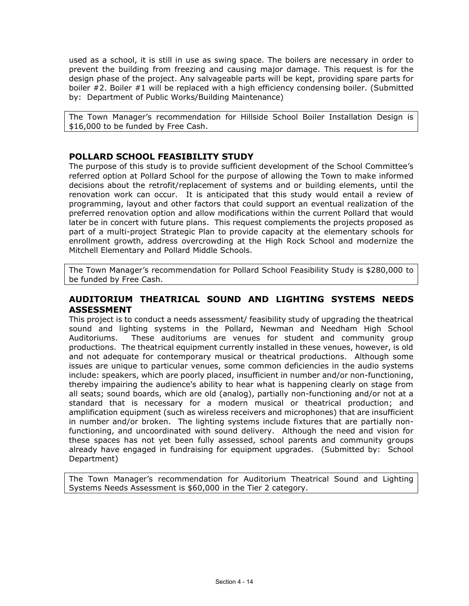used as a school, it is still in use as swing space. The boilers are necessary in order to prevent the building from freezing and causing major damage. This request is for the design phase of the project. Any salvageable parts will be kept, providing spare parts for boiler #2. Boiler #1 will be replaced with a high efficiency condensing boiler. (Submitted by: Department of Public Works/Building Maintenance)

The Town Manager's recommendation for Hillside School Boiler Installation Design is \$16,000 to be funded by Free Cash.

## **POLLARD SCHOOL FEASIBILITY STUDY**

The purpose of this study is to provide sufficient development of the School Committee's referred option at Pollard School for the purpose of allowing the Town to make informed decisions about the retrofit/replacement of systems and or building elements, until the renovation work can occur. It is anticipated that this study would entail a review of programming, layout and other factors that could support an eventual realization of the preferred renovation option and allow modifications within the current Pollard that would later be in concert with future plans. This request complements the projects proposed as part of a multi-project Strategic Plan to provide capacity at the elementary schools for enrollment growth, address overcrowding at the High Rock School and modernize the Mitchell Elementary and Pollard Middle Schools.

The Town Manager's recommendation for Pollard School Feasibility Study is \$280,000 to be funded by Free Cash.

## **AUDITORIUM THEATRICAL SOUND AND LIGHTING SYSTEMS NEEDS ASSESSMENT**

This project is to conduct a needs assessment/ feasibility study of upgrading the theatrical sound and lighting systems in the Pollard, Newman and Needham High School Auditoriums. These auditoriums are venues for student and community group productions. The theatrical equipment currently installed in these venues, however, is old and not adequate for contemporary musical or theatrical productions. Although some issues are unique to particular venues, some common deficiencies in the audio systems include: speakers, which are poorly placed, insufficient in number and/or non-functioning, thereby impairing the audience's ability to hear what is happening clearly on stage from all seats; sound boards, which are old (analog), partially non-functioning and/or not at a standard that is necessary for a modern musical or theatrical production; and amplification equipment (such as wireless receivers and microphones) that are insufficient in number and/or broken. The lighting systems include fixtures that are partially nonfunctioning, and uncoordinated with sound delivery. Although the need and vision for these spaces has not yet been fully assessed, school parents and community groups already have engaged in fundraising for equipment upgrades. (Submitted by: School Department)

The Town Manager's recommendation for Auditorium Theatrical Sound and Lighting Systems Needs Assessment is \$60,000 in the Tier 2 category.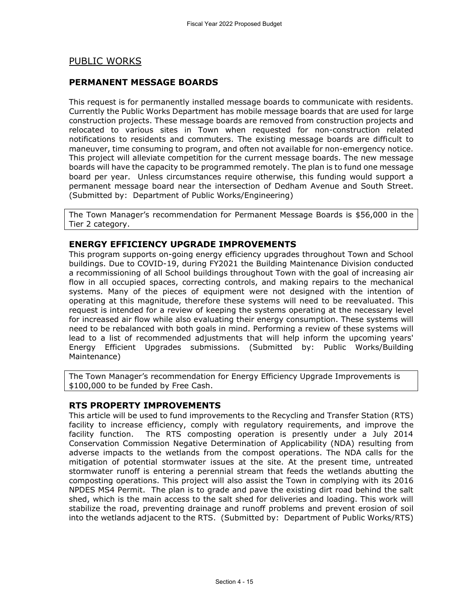## PUBLIC WORKS

### **PERMANENT MESSAGE BOARDS**

This request is for permanently installed message boards to communicate with residents. Currently the Public Works Department has mobile message boards that are used for large construction projects. These message boards are removed from construction projects and relocated to various sites in Town when requested for non-construction related notifications to residents and commuters. The existing message boards are difficult to maneuver, time consuming to program, and often not available for non-emergency notice. This project will alleviate competition for the current message boards. The new message boards will have the capacity to be programmed remotely. The plan is to fund one message board per year. Unless circumstances require otherwise, this funding would support a permanent message board near the intersection of Dedham Avenue and South Street. (Submitted by: Department of Public Works/Engineering)

The Town Manager's recommendation for Permanent Message Boards is \$56,000 in the Tier 2 category.

#### **ENERGY EFFICIENCY UPGRADE IMPROVEMENTS**

This program supports on-going energy efficiency upgrades throughout Town and School buildings. Due to COVID-19, during FY2021 the Building Maintenance Division conducted a recommissioning of all School buildings throughout Town with the goal of increasing air flow in all occupied spaces, correcting controls, and making repairs to the mechanical systems. Many of the pieces of equipment were not designed with the intention of operating at this magnitude, therefore these systems will need to be reevaluated. This request is intended for a review of keeping the systems operating at the necessary level for increased air flow while also evaluating their energy consumption. These systems will need to be rebalanced with both goals in mind. Performing a review of these systems will lead to a list of recommended adjustments that will help inform the upcoming years' Energy Efficient Upgrades submissions. (Submitted by: Public Works/Building Maintenance)

The Town Manager's recommendation for Energy Efficiency Upgrade Improvements is \$100,000 to be funded by Free Cash.

### **RTS PROPERTY IMPROVEMENTS**

This article will be used to fund improvements to the Recycling and Transfer Station (RTS) facility to increase efficiency, comply with regulatory requirements, and improve the facility function. The RTS composting operation is presently under a July 2014 Conservation Commission Negative Determination of Applicability (NDA) resulting from adverse impacts to the wetlands from the compost operations. The NDA calls for the mitigation of potential stormwater issues at the site. At the present time, untreated stormwater runoff is entering a perennial stream that feeds the wetlands abutting the composting operations. This project will also assist the Town in complying with its 2016 NPDES MS4 Permit. The plan is to grade and pave the existing dirt road behind the salt shed, which is the main access to the salt shed for deliveries and loading. This work will stabilize the road, preventing drainage and runoff problems and prevent erosion of soil into the wetlands adjacent to the RTS. (Submitted by: Department of Public Works/RTS)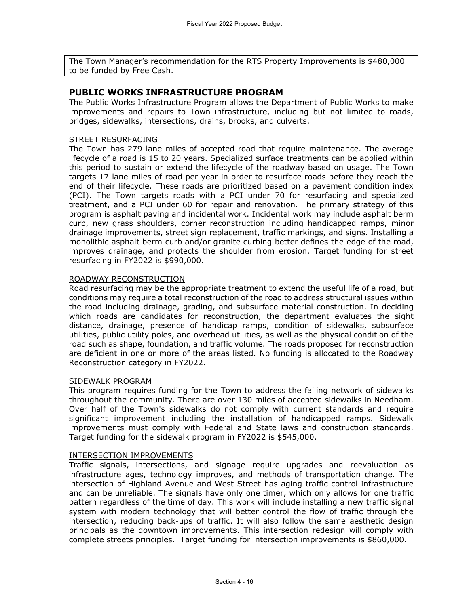The Town Manager's recommendation for the RTS Property Improvements is \$480,000 to be funded by Free Cash.

#### **PUBLIC WORKS INFRASTRUCTURE PROGRAM**

The Public Works Infrastructure Program allows the Department of Public Works to make improvements and repairs to Town infrastructure, including but not limited to roads, bridges, sidewalks, intersections, drains, brooks, and culverts.

#### STREET RESURFACING

The Town has 279 lane miles of accepted road that require maintenance. The average lifecycle of a road is 15 to 20 years. Specialized surface treatments can be applied within this period to sustain or extend the lifecycle of the roadway based on usage. The Town targets 17 lane miles of road per year in order to resurface roads before they reach the end of their lifecycle. These roads are prioritized based on a pavement condition index (PCI). The Town targets roads with a PCI under 70 for resurfacing and specialized treatment, and a PCI under 60 for repair and renovation. The primary strategy of this program is asphalt paving and incidental work. Incidental work may include asphalt berm curb, new grass shoulders, corner reconstruction including handicapped ramps, minor drainage improvements, street sign replacement, traffic markings, and signs. Installing a monolithic asphalt berm curb and/or granite curbing better defines the edge of the road, improves drainage, and protects the shoulder from erosion. Target funding for street resurfacing in FY2022 is \$990,000.

#### ROADWAY RECONSTRUCTION

Road resurfacing may be the appropriate treatment to extend the useful life of a road, but conditions may require a total reconstruction of the road to address structural issues within the road including drainage, grading, and subsurface material construction. In deciding which roads are candidates for reconstruction, the department evaluates the sight distance, drainage, presence of handicap ramps, condition of sidewalks, subsurface utilities, public utility poles, and overhead utilities, as well as the physical condition of the road such as shape, foundation, and traffic volume. The roads proposed for reconstruction are deficient in one or more of the areas listed. No funding is allocated to the Roadway Reconstruction category in FY2022.

#### SIDEWALK PROGRAM

This program requires funding for the Town to address the failing network of sidewalks throughout the community. There are over 130 miles of accepted sidewalks in Needham. Over half of the Town's sidewalks do not comply with current standards and require significant improvement including the installation of handicapped ramps. Sidewalk improvements must comply with Federal and State laws and construction standards. Target funding for the sidewalk program in FY2022 is \$545,000.

#### INTERSECTION IMPROVEMENTS

Traffic signals, intersections, and signage require upgrades and reevaluation as infrastructure ages, technology improves, and methods of transportation change. The intersection of Highland Avenue and West Street has aging traffic control infrastructure and can be unreliable. The signals have only one timer, which only allows for one traffic pattern regardless of the time of day. This work will include installing a new traffic signal system with modern technology that will better control the flow of traffic through the intersection, reducing back-ups of traffic. It will also follow the same aesthetic design principals as the downtown improvements. This intersection redesign will comply with complete streets principles. Target funding for intersection improvements is \$860,000.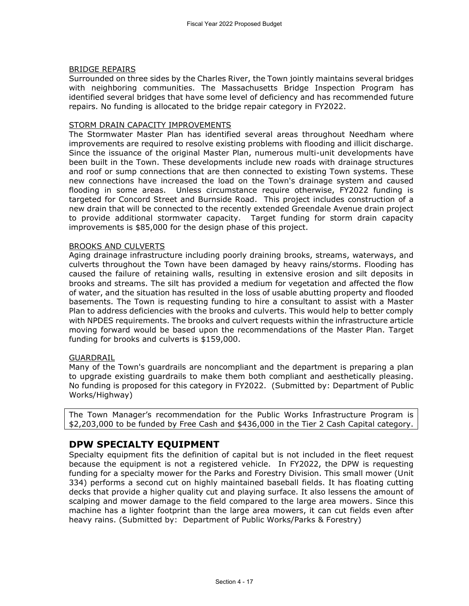#### BRIDGE REPAIRS

Surrounded on three sides by the Charles River, the Town jointly maintains several bridges with neighboring communities. The Massachusetts Bridge Inspection Program has identified several bridges that have some level of deficiency and has recommended future repairs. No funding is allocated to the bridge repair category in FY2022.

#### STORM DRAIN CAPACITY IMPROVEMENTS

The Stormwater Master Plan has identified several areas throughout Needham where improvements are required to resolve existing problems with flooding and illicit discharge. Since the issuance of the original Master Plan, numerous multi-unit developments have been built in the Town. These developments include new roads with drainage structures and roof or sump connections that are then connected to existing Town systems. These new connections have increased the load on the Town's drainage system and caused flooding in some areas. Unless circumstance require otherwise, FY2022 funding is targeted for Concord Street and Burnside Road. This project includes construction of a new drain that will be connected to the recently extended Greendale Avenue drain project to provide additional stormwater capacity. Target funding for storm drain capacity improvements is \$85,000 for the design phase of this project.

#### BROOKS AND CULVERTS

Aging drainage infrastructure including poorly draining brooks, streams, waterways, and culverts throughout the Town have been damaged by heavy rains/storms. Flooding has caused the failure of retaining walls, resulting in extensive erosion and silt deposits in brooks and streams. The silt has provided a medium for vegetation and affected the flow of water, and the situation has resulted in the loss of usable abutting property and flooded basements. The Town is requesting funding to hire a consultant to assist with a Master Plan to address deficiencies with the brooks and culverts. This would help to better comply with NPDES requirements. The brooks and culvert requests within the infrastructure article moving forward would be based upon the recommendations of the Master Plan. Target funding for brooks and culverts is \$159,000.

#### GUARDRAIL

Many of the Town's guardrails are noncompliant and the department is preparing a plan to upgrade existing guardrails to make them both compliant and aesthetically pleasing. No funding is proposed for this category in FY2022. (Submitted by: Department of Public Works/Highway)

The Town Manager's recommendation for the Public Works Infrastructure Program is \$2,203,000 to be funded by Free Cash and \$436,000 in the Tier 2 Cash Capital category.

# **DPW SPECIALTY EQUIPMENT**

Specialty equipment fits the definition of capital but is not included in the fleet request because the equipment is not a registered vehicle. In FY2022, the DPW is requesting funding for a specialty mower for the Parks and Forestry Division. This small mower (Unit 334) performs a second cut on highly maintained baseball fields. It has floating cutting decks that provide a higher quality cut and playing surface. It also lessens the amount of scalping and mower damage to the field compared to the large area mowers. Since this machine has a lighter footprint than the large area mowers, it can cut fields even after heavy rains. (Submitted by: Department of Public Works/Parks & Forestry)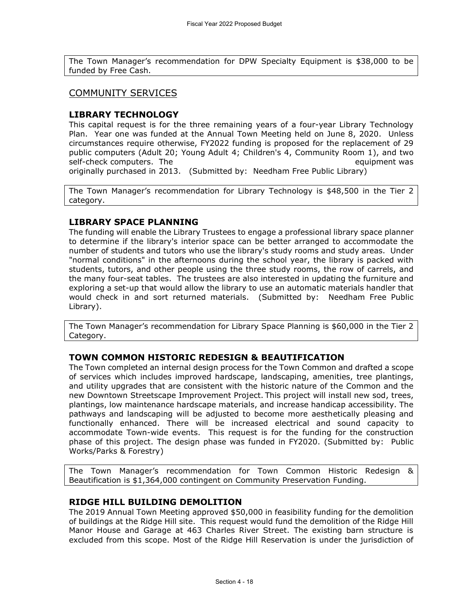The Town Manager's recommendation for DPW Specialty Equipment is \$38,000 to be funded by Free Cash.

## COMMUNITY SERVICES

### **LIBRARY TECHNOLOGY**

This capital request is for the three remaining years of a four-year Library Technology Plan. Year one was funded at the Annual Town Meeting held on June 8, 2020. Unless circumstances require otherwise, FY2022 funding is proposed for the replacement of 29 public computers (Adult 20; Young Adult 4; Children's 4, Community Room 1), and two self-check computers. The equipment was equipment was

originally purchased in 2013. (Submitted by: Needham Free Public Library)

The Town Manager's recommendation for Library Technology is \$48,500 in the Tier 2 category.

## **LIBRARY SPACE PLANNING**

The funding will enable the Library Trustees to engage a professional library space planner to determine if the library's interior space can be better arranged to accommodate the number of students and tutors who use the library's study rooms and study areas. Under "normal conditions" in the afternoons during the school year, the library is packed with students, tutors, and other people using the three study rooms, the row of carrels, and the many four-seat tables. The trustees are also interested in updating the furniture and exploring a set-up that would allow the library to use an automatic materials handler that would check in and sort returned materials. (Submitted by: Needham Free Public Library).

The Town Manager's recommendation for Library Space Planning is \$60,000 in the Tier 2 Category.

#### **TOWN COMMON HISTORIC REDESIGN & BEAUTIFICATION**

The Town completed an internal design process for the Town Common and drafted a scope of services which includes improved hardscape, landscaping, amenities, tree plantings, and utility upgrades that are consistent with the historic nature of the Common and the new Downtown Streetscape Improvement Project. This project will install new sod, trees, plantings, low maintenance hardscape materials, and increase handicap accessibility. The pathways and landscaping will be adjusted to become more aesthetically pleasing and functionally enhanced. There will be increased electrical and sound capacity to accommodate Town-wide events. This request is for the funding for the construction phase of this project. The design phase was funded in FY2020. (Submitted by: Public Works/Parks & Forestry)

The Town Manager's recommendation for Town Common Historic Redesign & Beautification is \$1,364,000 contingent on Community Preservation Funding.

## **RIDGE HILL BUILDING DEMOLITION**

The 2019 Annual Town Meeting approved \$50,000 in feasibility funding for the demolition of buildings at the Ridge Hill site. This request would fund the demolition of the Ridge Hill Manor House and Garage at 463 Charles River Street. The existing barn structure is excluded from this scope. Most of the Ridge Hill Reservation is under the jurisdiction of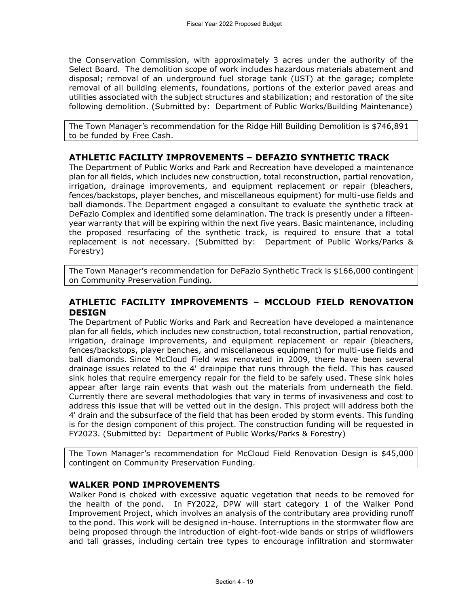the Conservation Commission, with approximately 3 acres under the authority of the Select Board. The demolition scope of work includes hazardous materials abatement and disposal; removal of an underground fuel storage tank (UST) at the garage; complete removal of all building elements, foundations, portions of the exterior paved areas and utilities associated with the subject structures and stabilization; and restoration of the site following demolition. (Submitted by: Department of Public Works/Building Maintenance)

The Town Manager's recommendation for the Ridge Hill Building Demolition is \$746,891 to be funded by Free Cash.

## **ATHLETIC FACILITY IMPROVEMENTS – DEFAZIO SYNTHETIC TRACK**

The Department of Public Works and Park and Recreation have developed a maintenance plan for all fields, which includes new construction, total reconstruction, partial renovation, irrigation, drainage improvements, and equipment replacement or repair (bleachers, fences/backstops, player benches, and miscellaneous equipment) for multi-use fields and ball diamonds. The Department engaged a consultant to evaluate the synthetic track at DeFazio Complex and identified some delamination. The track is presently under a fifteenyear warranty that will be expiring within the next five years. Basic maintenance, including the proposed resurfacing of the synthetic track, is required to ensure that a total replacement is not necessary. (Submitted by: Department of Public Works/Parks & Forestry)

The Town Manager's recommendation for DeFazio Synthetic Track is \$166,000 contingent on Community Preservation Funding.

### **ATHLETIC FACILITY IMPROVEMENTS – MCCLOUD FIELD RENOVATION DESIGN**

The Department of Public Works and Park and Recreation have developed a maintenance plan for all fields, which includes new construction, total reconstruction, partial renovation, irrigation, drainage improvements, and equipment replacement or repair (bleachers, fences/backstops, player benches, and miscellaneous equipment) for multi-use fields and ball diamonds. Since McCloud Field was renovated in 2009, there have been several drainage issues related to the 4' drainpipe that runs through the field. This has caused sink holes that require emergency repair for the field to be safely used. These sink holes appear after large rain events that wash out the materials from underneath the field. Currently there are several methodologies that vary in terms of invasiveness and cost to address this issue that will be vetted out in the design. This project will address both the 4' drain and the subsurface of the field that has been eroded by storm events. This funding is for the design component of this project. The construction funding will be requested in FY2023. (Submitted by: Department of Public Works/Parks & Forestry)

The Town Manager's recommendation for McCloud Field Renovation Design is \$45,000 contingent on Community Preservation Funding.

#### **WALKER POND IMPROVEMENTS**

Walker Pond is choked with excessive aquatic vegetation that needs to be removed for the health of the pond. In FY2022, DPW will start category 1 of the Walker Pond Improvement Project, which involves an analysis of the contributary area providing runoff to the pond. This work will be designed in-house. Interruptions in the stormwater flow are being proposed through the introduction of eight-foot-wide bands or strips of wildflowers and tall grasses, including certain tree types to encourage infiltration and stormwater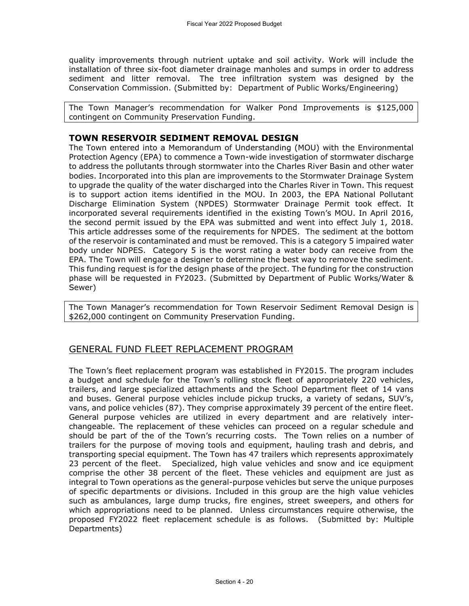quality improvements through nutrient uptake and soil activity. Work will include the installation of three six-foot diameter drainage manholes and sumps in order to address sediment and litter removal. The tree infiltration system was designed by the Conservation Commission. (Submitted by: Department of Public Works/Engineering)

The Town Manager's recommendation for Walker Pond Improvements is \$125,000 contingent on Community Preservation Funding.

#### **TOWN RESERVOIR SEDIMENT REMOVAL DESIGN**

The Town entered into a Memorandum of Understanding (MOU) with the Environmental Protection Agency (EPA) to commence a Town-wide investigation of stormwater discharge to address the pollutants through stormwater into the Charles River Basin and other water bodies. Incorporated into this plan are improvements to the Stormwater Drainage System to upgrade the quality of the water discharged into the Charles River in Town. This request is to support action items identified in the MOU. In 2003, the EPA National Pollutant Discharge Elimination System (NPDES) Stormwater Drainage Permit took effect. It incorporated several requirements identified in the existing Town's MOU. In April 2016, the second permit issued by the EPA was submitted and went into effect July 1, 2018. This article addresses some of the requirements for NPDES. The sediment at the bottom of the reservoir is contaminated and must be removed. This is a category 5 impaired water body under NDPES. Category 5 is the worst rating a water body can receive from the EPA. The Town will engage a designer to determine the best way to remove the sediment. This funding request is for the design phase of the project. The funding for the construction phase will be requested in FY2023. (Submitted by Department of Public Works/Water & Sewer)

The Town Manager's recommendation for Town Reservoir Sediment Removal Design is \$262,000 contingent on Community Preservation Funding.

# GENERAL FUND FLEET REPLACEMENT PROGRAM

The Town's fleet replacement program was established in FY2015. The program includes a budget and schedule for the Town's rolling stock fleet of appropriately 220 vehicles, trailers, and large specialized attachments and the School Department fleet of 14 vans and buses. General purpose vehicles include pickup trucks, a variety of sedans, SUV's, vans, and police vehicles (87). They comprise approximately 39 percent of the entire fleet. General purpose vehicles are utilized in every department and are relatively interchangeable. The replacement of these vehicles can proceed on a regular schedule and should be part of the of the Town's recurring costs. The Town relies on a number of trailers for the purpose of moving tools and equipment, hauling trash and debris, and transporting special equipment. The Town has 47 trailers which represents approximately 23 percent of the fleet. Specialized, high value vehicles and snow and ice equipment comprise the other 38 percent of the fleet. These vehicles and equipment are just as integral to Town operations as the general-purpose vehicles but serve the unique purposes of specific departments or divisions. Included in this group are the high value vehicles such as ambulances, large dump trucks, fire engines, street sweepers, and others for which appropriations need to be planned. Unless circumstances require otherwise, the proposed FY2022 fleet replacement schedule is as follows. (Submitted by: Multiple Departments)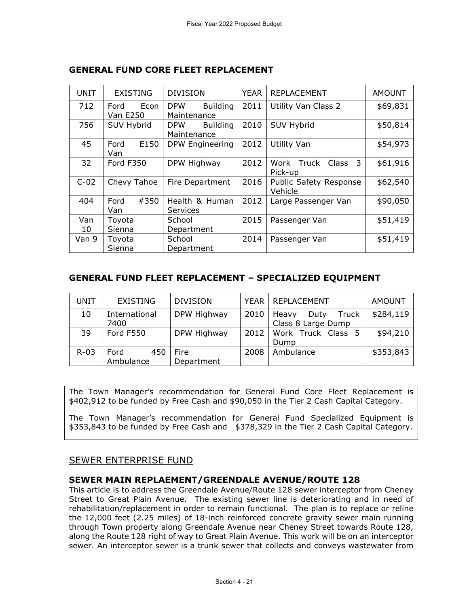| <b>UNIT</b> | <b>EXISTING</b>   | <b>DIVISION</b>               | <b>YEAR</b> | <b>REPLACEMENT</b>       | <b>AMOUNT</b> |
|-------------|-------------------|-------------------------------|-------------|--------------------------|---------------|
| 712         | Econ<br>Ford      | <b>Building</b><br><b>DPW</b> | 2011        | Utility Van Class 2      | \$69,831      |
|             | <b>Van E250</b>   | Maintenance                   |             |                          |               |
| 756         | <b>SUV Hybrid</b> | <b>Building</b><br><b>DPW</b> | 2010        | <b>SUV Hybrid</b>        | \$50,814      |
|             |                   | Maintenance                   |             |                          |               |
| 45          | E150<br>Ford      | DPW Engineering               | 2012        | Utility Van              | \$54,973      |
|             | Van               |                               |             |                          |               |
| 32          | Ford F350         | DPW Highway                   | 2012        | Work Truck<br>3<br>Class | \$61,916      |
|             |                   |                               |             | Pick-up                  |               |
| $C-02$      | Chevy Tahoe       | Fire Department               | 2016        | Public Safety Response   | \$62,540      |
|             |                   |                               |             | Vehicle                  |               |
| 404         | #350<br>Ford      | Health & Human                | 2012        | Large Passenger Van      | \$90,050      |
|             | Van               | <b>Services</b>               |             |                          |               |
| Van         | Toyota            | School                        | 2015        | Passenger Van            | \$51,419      |
| 10          | Sienna            | Department                    |             |                          |               |
| Van 9       | Toyota            | School                        | 2014        | Passenger Van            | \$51,419      |
|             | Sienna            | Department                    |             |                          |               |

# **GENERAL FUND CORE FLEET REPLACEMENT**

## **GENERAL FUND FLEET REPLACEMENT – SPECIALIZED EQUIPMENT**

| UNIT   | <b>EXISTING</b> | <b>DIVISION</b> | YEAR I | REPLACEMENT            | <b>AMOUNT</b> |
|--------|-----------------|-----------------|--------|------------------------|---------------|
| 10     | International   | DPW Highway     | 2010   | Truck<br>Heavy<br>Duty | \$284,119     |
|        | 7400            |                 |        | Class 8 Large Dump     |               |
| 39     | Ford F550       | DPW Highway     | 2012   | Work Truck Class 5     | \$94,210      |
|        |                 |                 |        | Dump                   |               |
| $R-03$ | Ford<br>450     | <b>Fire</b>     | 2008   | Ambulance              | \$353,843     |
|        | Ambulance       | Department      |        |                        |               |

The Town Manager's recommendation for General Fund Core Fleet Replacement is \$402,912 to be funded by Free Cash and \$90,050 in the Tier 2 Cash Capital Category.

The Town Manager's recommendation for General Fund Specialized Equipment is \$353,843 to be funded by Free Cash and \$378,329 in the Tier 2 Cash Capital Category.

# SEWER ENTERPRISE FUND

## **SEWER MAIN REPLAEMENT/GREENDALE AVENUE/ROUTE 128**

This article is to address the Greendale Avenue/Route 128 sewer interceptor from Cheney Street to Great Plain Avenue. The existing sewer line is deteriorating and in need of rehabilitation/replacement in order to remain functional. The plan is to replace or reline the 12,000 feet (2.25 miles) of 18-inch reinforced concrete gravity sewer main running through Town property along Greendale Avenue near Cheney Street towards Route 128, along the Route 128 right of way to Great Plain Avenue. This work will be on an interceptor sewer. An interceptor sewer is a trunk sewer that collects and conveys wastewater from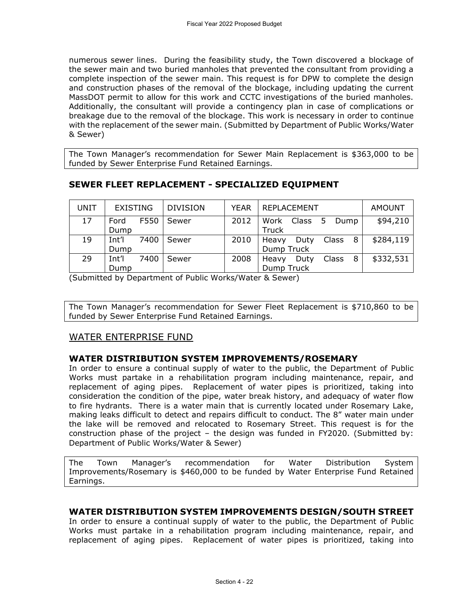numerous sewer lines. During the feasibility study, the Town discovered a blockage of the sewer main and two buried manholes that prevented the consultant from providing a complete inspection of the sewer main. This request is for DPW to complete the design and construction phases of the removal of the blockage, including updating the current MassDOT permit to allow for this work and CCTC investigations of the buried manholes. Additionally, the consultant will provide a contingency plan in case of complications or breakage due to the removal of the blockage. This work is necessary in order to continue with the replacement of the sewer main. (Submitted by Department of Public Works/Water & Sewer)

The Town Manager's recommendation for Sewer Main Replacement is \$363,000 to be funded by Sewer Enterprise Fund Retained Earnings.

# **SEWER FLEET REPLACEMENT - SPECIALIZED EQUIPMENT**

| UNIT | <b>EXISTING</b> | <b>DIVISION</b> | <b>YEAR</b> | I REPLACEMENT               | <b>AMOUNT</b> |
|------|-----------------|-----------------|-------------|-----------------------------|---------------|
| 17   | F550<br>Ford    | Sewer           | 2012        | Work<br>Class<br>Dump<br>5. | \$94,210      |
|      | Dump            |                 |             | Truck                       |               |
| 19   | Int'l<br>7400   | Sewer           | 2010        | Class<br>8<br>Heavy<br>Duty | \$284,119     |
|      | Dump            |                 |             | Dump Truck                  |               |
| 29   | Int'l<br>7400   | Sewer           | 2008        | Class<br>8<br>Heavy<br>Duty | \$332,531     |
|      | Dump            |                 |             | Dump Truck                  |               |

(Submitted by Department of Public Works/Water & Sewer)

The Town Manager's recommendation for Sewer Fleet Replacement is \$710,860 to be funded by Sewer Enterprise Fund Retained Earnings.

## WATER ENTERPRISE FUND

## **WATER DISTRIBUTION SYSTEM IMPROVEMENTS/ROSEMARY**

In order to ensure a continual supply of water to the public, the Department of Public Works must partake in a rehabilitation program including maintenance, repair, and replacement of aging pipes. Replacement of water pipes is prioritized, taking into consideration the condition of the pipe, water break history, and adequacy of water flow to fire hydrants. There is a water main that is currently located under Rosemary Lake, making leaks difficult to detect and repairs difficult to conduct. The 8" water main under the lake will be removed and relocated to Rosemary Street. This request is for the construction phase of the project – the design was funded in FY2020. (Submitted by: Department of Public Works/Water & Sewer)

The Town Manager's recommendation for Water Distribution System Improvements/Rosemary is \$460,000 to be funded by Water Enterprise Fund Retained Earnings.

## **WATER DISTRIBUTION SYSTEM IMPROVEMENTS DESIGN/SOUTH STREET**

In order to ensure a continual supply of water to the public, the Department of Public Works must partake in a rehabilitation program including maintenance, repair, and replacement of aging pipes. Replacement of water pipes is prioritized, taking into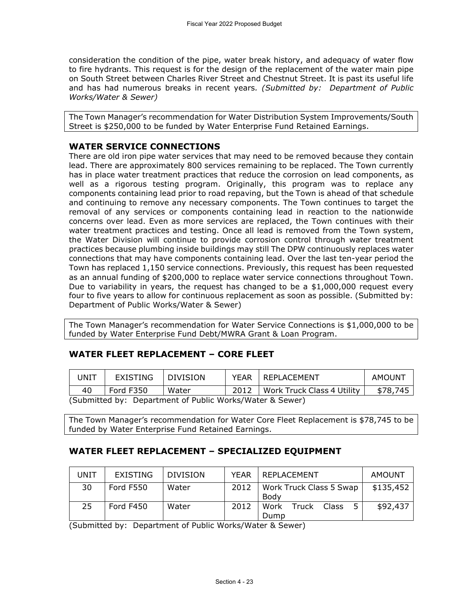consideration the condition of the pipe, water break history, and adequacy of water flow to fire hydrants. This request is for the design of the replacement of the water main pipe on South Street between Charles River Street and Chestnut Street. It is past its useful life and has had numerous breaks in recent years*. (Submitted by: Department of Public Works/Water & Sewer)*

The Town Manager's recommendation for Water Distribution System Improvements/South Street is \$250,000 to be funded by Water Enterprise Fund Retained Earnings.

# **WATER SERVICE CONNECTIONS**

There are old iron pipe water services that may need to be removed because they contain lead. There are approximately 800 services remaining to be replaced. The Town currently has in place water treatment practices that reduce the corrosion on lead components, as well as a rigorous testing program. Originally, this program was to replace any components containing lead prior to road repaving, but the Town is ahead of that schedule and continuing to remove any necessary components. The Town continues to target the removal of any services or components containing lead in reaction to the nationwide concerns over lead. Even as more services are replaced, the Town continues with their water treatment practices and testing. Once all lead is removed from the Town system, the Water Division will continue to provide corrosion control through water treatment practices because plumbing inside buildings may still The DPW continuously replaces water connections that may have components containing lead. Over the last ten-year period the Town has replaced 1,150 service connections. Previously, this request has been requested as an annual funding of \$200,000 to replace water service connections throughout Town. Due to variability in years, the request has changed to be a  $$1,000,000$  request every four to five years to allow for continuous replacement as soon as possible. (Submitted by: Department of Public Works/Water & Sewer)

The Town Manager's recommendation for Water Service Connections is \$1,000,000 to be funded by Water Enterprise Fund Debt/MWRA Grant & Loan Program.

# **WATER FLEET REPLACEMENT – CORE FLEET**

| JNIT                                                     | EXISTING  | I DIVISION | YFAR | I REPLACEMENT              | AMOUNT   |  |
|----------------------------------------------------------|-----------|------------|------|----------------------------|----------|--|
| 40                                                       | Ford F350 | Water      |      | Work Truck Class 4 Utility | \$78,745 |  |
| (Submitted by: Department of Public Works/Water & Sewer) |           |            |      |                            |          |  |

(Submitted by: Department of Public Works/Water & Sewer)

The Town Manager's recommendation for Water Core Fleet Replacement is \$78,745 to be funded by Water Enterprise Fund Retained Earnings.

# **WATER FLEET REPLACEMENT – SPECIALIZED EQUIPMENT**

| UNIT | EXISTING  | <b>DIVISION</b> | <b>YEAR</b> | <b>REPLACEMENT</b>                    | AMOUNT    |
|------|-----------|-----------------|-------------|---------------------------------------|-----------|
| 30   | Ford F550 | Water           | 2012        | Work Truck Class 5 Swap<br>Body       | \$135,452 |
| 25.  | Ford F450 | Water           | 2012        | Class<br>Work<br><b>Truck</b><br>Dump | \$92,437  |

(Submitted by: Department of Public Works/Water & Sewer)